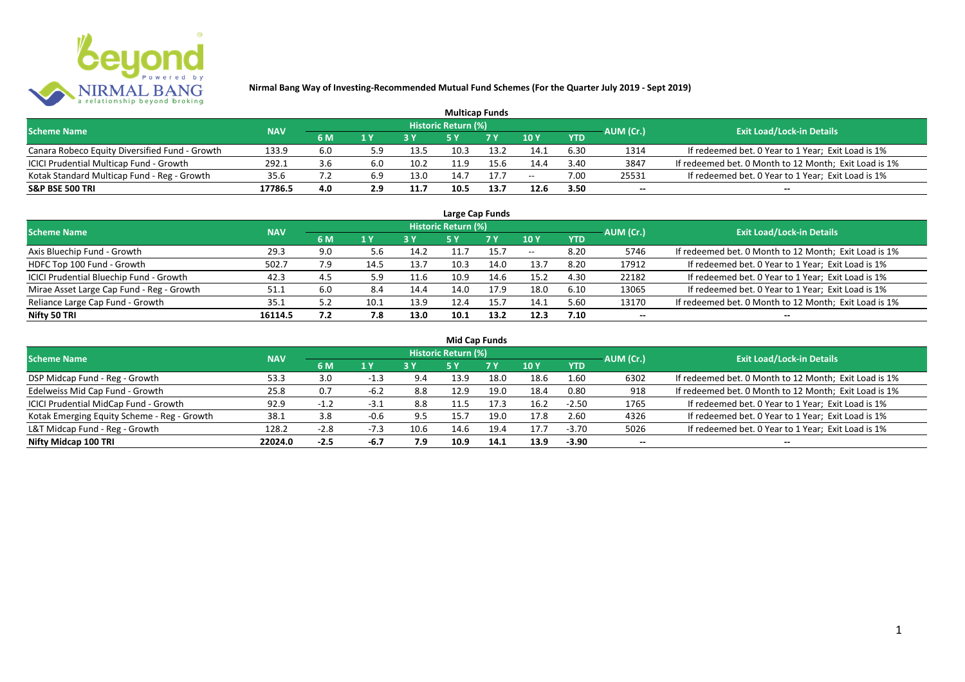

|                                                |            |     |     |      | <b>Multicap Funds</b> |      |        |            |           |                                                       |
|------------------------------------------------|------------|-----|-----|------|-----------------------|------|--------|------------|-----------|-------------------------------------------------------|
| <b>Scheme Name</b>                             | <b>NAV</b> |     |     |      | Historic Return (%)   |      |        |            | AUM (Cr.) | <b>Exit Load/Lock-in Details</b>                      |
|                                                |            | 6 M | 1 Y | 2V   |                       | 7 V  | $-10Y$ | <b>YTD</b> |           |                                                       |
| Canara Robeco Equity Diversified Fund - Growth | 133.9      | 6.0 | 5.9 | 13.5 | 10.3                  |      | 14.1   | 6.30       | 1314      | If redeemed bet. 0 Year to 1 Year; Exit Load is 1%    |
| ICICI Prudential Multicap Fund - Growth        | 292.1      | 3.6 | 6.0 | 10.2 |                       | 15.6 | 14.4   | 3.40       | 3847      | If redeemed bet. 0 Month to 12 Month; Exit Load is 1% |
| Kotak Standard Multicap Fund - Reg - Growth    | 35.6       |     | 6.9 | 13.0 | 14.7                  | 17.7 | $- -$  | 7.00       | 25531     | If redeemed bet. 0 Year to 1 Year; Exit Load is 1%    |
| <b>S&amp;P BSE 500 TRI</b>                     | 17786.5    | 4.0 | 2.9 | 11.7 | 10.5                  | 13.7 | 12.6   | 3.50       | $- -$     | $- -$                                                 |

|                                           |            |     |      |      |                            | Large Cap Funds |       |            |           |                                                       |
|-------------------------------------------|------------|-----|------|------|----------------------------|-----------------|-------|------------|-----------|-------------------------------------------------------|
| <b>Scheme Name</b>                        | <b>NAV</b> |     |      |      | <b>Historic Return (%)</b> |                 |       |            | AUM (Cr.) | <b>Exit Load/Lock-in Details</b>                      |
|                                           |            | 6 M | 1Y   | 3 Y  | <b>5 Y</b>                 | <b>7Y</b>       | 10Y   | <b>YTD</b> |           |                                                       |
| Axis Bluechip Fund - Growth               | 29.3       | 9.0 | 5.6  | 14.2 | 11.7                       | 15.7            | $- -$ | 8.20       | 5746      | If redeemed bet. 0 Month to 12 Month; Exit Load is 1% |
| HDFC Top 100 Fund - Growth                | 502.7      |     | 14.5 | 13.7 | 10.3                       | 14.0            | 13.7  | 8.20       | 17912     | If redeemed bet. 0 Year to 1 Year; Exit Load is 1%    |
| ICICI Prudential Bluechip Fund - Growth   | 42.3       | 4.5 | 5.9  | 11.6 | 10.9                       | 14.6            | 15.2  | 4.30       | 22182     | If redeemed bet. 0 Year to 1 Year; Exit Load is 1%    |
| Mirae Asset Large Cap Fund - Reg - Growth | 51.1       | 6.0 | 8.4  | 14.4 | 14.0                       | 17.9            | 18.0  | 6.10       | 13065     | If redeemed bet. 0 Year to 1 Year; Exit Load is 1%    |
| Reliance Large Cap Fund - Growth          | 35.1       |     | 10.1 | 13.9 | 12.4                       | 15.7            | 14.1  | 5.60       | 13170     | If redeemed bet. 0 Month to 12 Month; Exit Load is 1% |
| Nifty 50 TRI                              | 16114.5    | 7.2 | 7.8  | 13.0 | 10.1                       | 13.2            | 12.3  | 7.10       |           | $- -$                                                 |

| <b>Mid Cap Funds</b>                        |            |         |        |      |                     |           |      |            |                          |                                                       |  |  |  |
|---------------------------------------------|------------|---------|--------|------|---------------------|-----------|------|------------|--------------------------|-------------------------------------------------------|--|--|--|
| <b>Scheme Name</b>                          | <b>NAV</b> |         |        |      | Historic Return (%) |           |      |            | AUM (Cr.)                | <b>Exit Load/Lock-in Details</b>                      |  |  |  |
|                                             |            | 6 M     | 1 Y    |      | 5 Y                 | <b>7Y</b> | 10Y  | <b>YTD</b> |                          |                                                       |  |  |  |
| DSP Midcap Fund - Reg - Growth              | 53.3       | 3.0     | $-1.3$ | 9.4  | 13.9                | 18.0      | 18.6 | 1.60       | 6302                     | If redeemed bet. 0 Month to 12 Month; Exit Load is 1% |  |  |  |
| Edelweiss Mid Cap Fund - Growth             | 25.8       | 0.7     | $-6.2$ | 8.8  | 12.9                | 19.0      | 18.4 | 0.80       | 918                      | If redeemed bet. 0 Month to 12 Month; Exit Load is 1% |  |  |  |
| ICICI Prudential MidCap Fund - Growth       | 92.9       | $-1, 2$ | $-3.1$ | 8.8  | 1.5                 | 17.3      | 16.2 | $-2.50$    | 1765                     | If redeemed bet. 0 Year to 1 Year; Exit Load is 1%    |  |  |  |
| Kotak Emerging Equity Scheme - Reg - Growth | 38.1       | 3.8     | -0.6   | 9.5  | 15.7                | 19.0      | 17.8 | 2.60       | 4326                     | If redeemed bet. 0 Year to 1 Year; Exit Load is 1%    |  |  |  |
| L&T Midcap Fund - Reg - Growth              | 128.2      | $-2.8$  | $-7.3$ | 10.6 | 14.6                | 19.4      | 17.7 | $-3.70$    | 5026                     | If redeemed bet. 0 Year to 1 Year; Exit Load is 1%    |  |  |  |
| Nifty Midcap 100 TRI                        | 22024.0    | $-2.5$  | $-6.7$ | 7.9  | 10.9                | 14.1      | 13.9 | $-3.90$    | $\overline{\phantom{a}}$ | $- -$                                                 |  |  |  |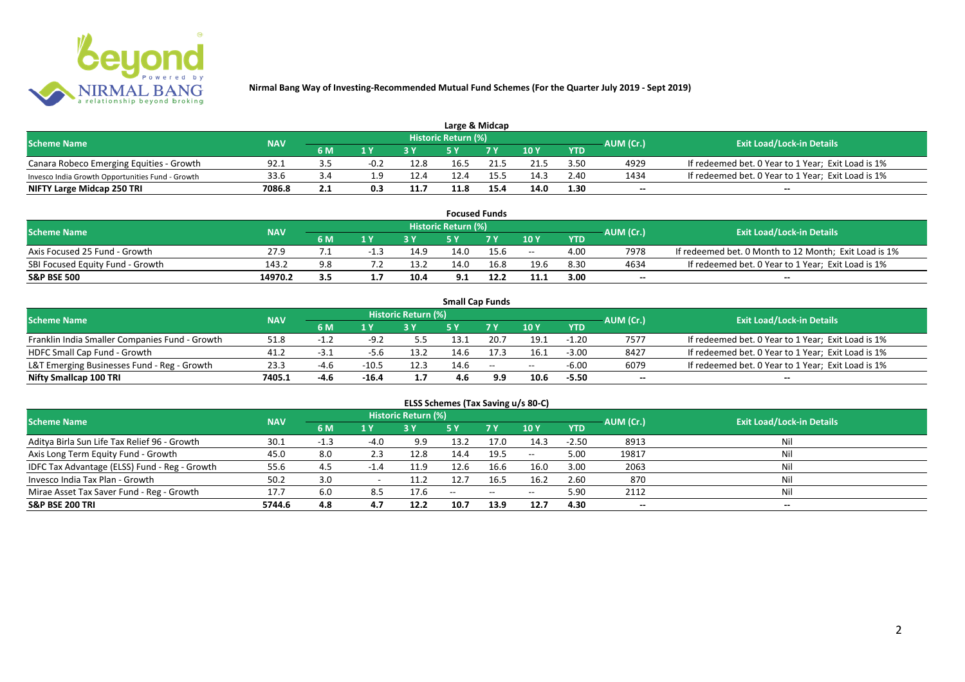

| Large & Midcap                                   |            |                                      |                         |      |                            |      |      |            |           |                                                    |  |  |  |
|--------------------------------------------------|------------|--------------------------------------|-------------------------|------|----------------------------|------|------|------------|-----------|----------------------------------------------------|--|--|--|
| <b>Scheme Name</b>                               | <b>NAV</b> |                                      |                         |      | <b>Historic Return (%)</b> |      |      |            | AUM (Cr.) | <b>Exit Load/Lock-in Details</b>                   |  |  |  |
|                                                  |            | 6 M                                  | $\mathbf{A} \mathbf{V}$ |      |                            | 7 V  | 10Y  | <b>YTD</b> |           |                                                    |  |  |  |
| Canara Robeco Emerging Equities - Growth         | 92.1       | - -                                  | $-0.2$                  | 12.8 | 16.5                       |      | 21.5 | 3.50       | 4929      | If redeemed bet. 0 Year to 1 Year; Exit Load is 1% |  |  |  |
| Invesco India Growth Opportunities Fund - Growth | 33.6       |                                      |                         | 12.4 | 12.4                       |      | 14.3 | 2.40       | 1434      | If redeemed bet. 0 Year to 1 Year; Exit Load is 1% |  |  |  |
| NIFTY Large Midcap 250 TRI                       | 7086.8     | י י<br>$\mathbf{L} \cdot \mathbf{L}$ |                         | 11.7 | 11.8                       | 15.4 | 14.0 | 1.30       | $- -$     | $- -$                                              |  |  |  |

|                                  |            |     |     |      |                     | <b>Focused Funds</b> |       |            |           |                                                       |
|----------------------------------|------------|-----|-----|------|---------------------|----------------------|-------|------------|-----------|-------------------------------------------------------|
| <b>Scheme Name</b>               | <b>NAV</b> |     |     |      | Historic Return (%) |                      |       |            | AUM (Cr.) | <b>Exit Load/Lock-in Details</b>                      |
|                                  |            | 6 M | 1 V |      | cν                  | 7 V                  | 10 Y  | <b>YTD</b> |           |                                                       |
| Axis Focused 25 Fund - Growth    | 27.9       |     |     | 14.9 | 14.0                | 15.6                 | $- -$ | 4.00       | 7978      | If redeemed bet. 0 Month to 12 Month; Exit Load is 1% |
| SBI Focused Equity Fund - Growth | 143.2      | 9.8 |     | 13.2 | 14.0                | 16.8                 | 19.6  | 8.30       | 4634      | If redeemed bet. 0 Year to 1 Year; Exit Load is 1%    |
| <b>S&amp;P BSE 500</b>           | 14970.2    |     |     | 10.4 | 9.1                 | 12.2                 | 11.1  | 3.00       | $- -$     | $- -$                                                 |

|                                                |            |           |         |                     | <b>Small Cap Funds</b> |        |       |            |           |                                                    |
|------------------------------------------------|------------|-----------|---------|---------------------|------------------------|--------|-------|------------|-----------|----------------------------------------------------|
| <b>Scheme Name</b>                             | <b>NAV</b> |           |         | Historic Return (%) |                        |        |       |            | AUM (Cr.) | <b>Exit Load/Lock-in Details</b>                   |
|                                                |            | 6 M       |         |                     |                        |        | 10Y   | <b>YTD</b> |           |                                                    |
| Franklin India Smaller Companies Fund - Growth | 51.8       | ـ ـ ـ ـ ـ | $-9.2$  | 5.5                 | 13.1                   | 20.7   | 19.1  | $-1.20$    | 7577      | If redeemed bet. 0 Year to 1 Year; Exit Load is 1% |
| HDFC Small Cap Fund - Growth                   | 41.2       | -3        | -5.6    | 13.2                | 14.6                   |        | 16.1  | $-3.00$    | 8427      | If redeemed bet. 0 Year to 1 Year; Exit Load is 1% |
| L&T Emerging Businesses Fund - Reg - Growth    | 23.3       | -4.t      | $-10.5$ | 12.3                | 14.6                   | $\sim$ | $- -$ | $-6.00$    | 6079      | If redeemed bet. 0 Year to 1 Year; Exit Load is 1% |
| Nifty Smallcap 100 TRI                         | 7405.1     | $-4.6$    | $-16.4$ | 1.7                 | 4.6                    | 9.9    | 10.6  | $-5.50$    | $- -$     | --                                                 |

# **ELSS Schemes (Tax Saving u/s 80-C)**

| <b>Scheme Name</b>                            | <b>NAV</b> |      |                | <b>Historic Return (%)</b> |       |      |         |            | AUM (Cr.)                | <b>Exit Load/Lock-in Details</b> |
|-----------------------------------------------|------------|------|----------------|----------------------------|-------|------|---------|------------|--------------------------|----------------------------------|
|                                               |            | 6 M  | 1 <sub>Y</sub> |                            | 5 Y   | 7Y   | 10Y     | <b>YTD</b> |                          |                                  |
| Aditya Birla Sun Life Tax Relief 96 - Growth  | 30.1       | -1.3 | $-4.0$         | 9.9                        | 13.2  | 17.0 | 14.3    | $-2.50$    | 8913                     | Nil                              |
| Axis Long Term Equity Fund - Growth           | 45.0       | 8.0  | 2.3            | 12.8                       | 14.4  | 19.5 | $-  \,$ | 5.00       | 19817                    |                                  |
| IDFC Tax Advantage (ELSS) Fund - Reg - Growth | 55.6       | -4.5 | -1.4           | 11.9                       | 12.6  | 16.6 | 16.0    | 3.00       | 2063                     |                                  |
| Invesco India Tax Plan - Growth               | 50.2       | 3.0  |                | 11.2                       | 12.7  | 16.5 | 16.2    | 2.60       | 870                      |                                  |
| Mirae Asset Tax Saver Fund - Reg - Growth     | 17.7       | 6.0  | 8.5            | 17.6                       | $- -$ | --   | $- -$   | 5.90       | 2112                     |                                  |
| <b>S&amp;P BSE 200 TRI</b>                    | 5744.6     | 4.8  | 4.7            | 12.2                       | 10.7  | 13.9 | 12.7    | 4.30       | $\overline{\phantom{a}}$ | $\overline{\phantom{a}}$         |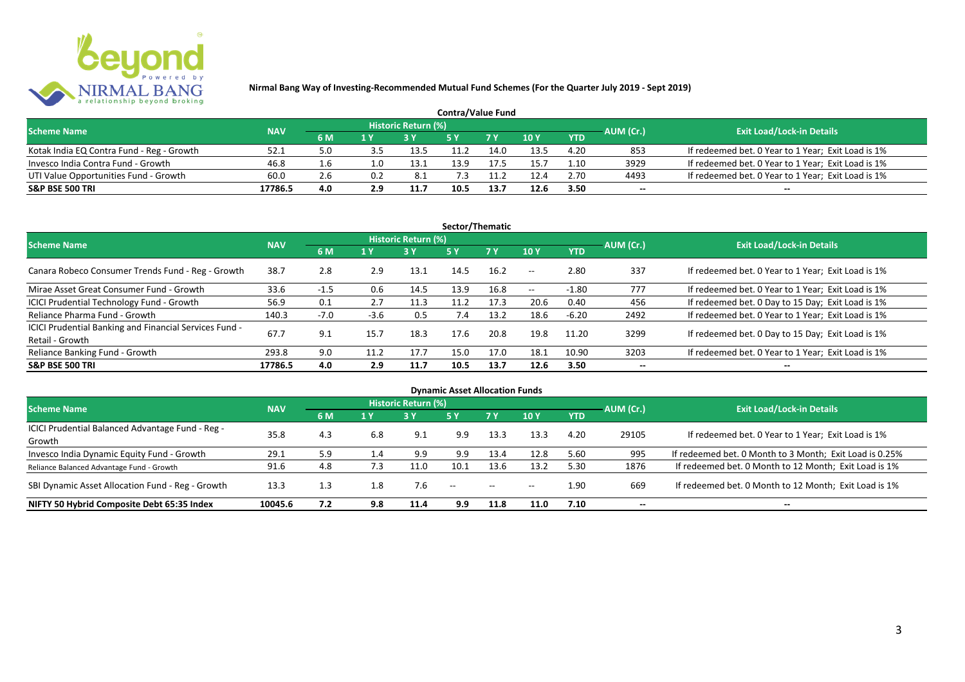

| <b>Contra/Value Fund</b>                  |            |           |     |                     |      |      |       |            |           |                                                    |  |  |  |
|-------------------------------------------|------------|-----------|-----|---------------------|------|------|-------|------------|-----------|----------------------------------------------------|--|--|--|
| <b>Scheme Name</b>                        | <b>NAV</b> |           |     | Historic Return (%) |      |      |       |            | AUM (Cr.) | <b>Exit Load/Lock-in Details</b>                   |  |  |  |
|                                           |            | <b>6M</b> | 1 Y |                     |      | 7 Y  | 10Y   | <b>YTD</b> |           |                                                    |  |  |  |
| Kotak India EQ Contra Fund - Reg - Growth | 52.1       | 5.0       |     | 13.5                | 11.2 | 14.0 | 13.5  | 4.20       | 853       | If redeemed bet. 0 Year to 1 Year; Exit Load is 1% |  |  |  |
| Invesco India Contra Fund - Growth        | 46.8       | 1.6       | 1.0 | 13.1                | 13.9 | 17.5 | L5. . | 1.10       | 3929      | If redeemed bet. 0 Year to 1 Year; Exit Load is 1% |  |  |  |
| UTI Value Opportunities Fund - Growth     | 60.0       | 2.6       |     | 8.1                 |      | 1.2  | 12.4  | 2.70       | 4493      | If redeemed bet. 0 Year to 1 Year; Exit Load is 1% |  |  |  |
| <b>S&amp;P BSE 500 TRI</b>                | 17786.5    | 4.0       | 2.9 | 11.7                | 10.5 | 13.7 | 12.6  | 3.50       | --        | $- -$                                              |  |  |  |

| Sector/Thematic                                                           |            |        |                |                            |      |           |               |            |           |                                                    |  |  |  |
|---------------------------------------------------------------------------|------------|--------|----------------|----------------------------|------|-----------|---------------|------------|-----------|----------------------------------------------------|--|--|--|
| <b>Scheme Name</b>                                                        | <b>NAV</b> |        |                | <b>Historic Return (%)</b> |      |           |               |            | AUM (Cr.) | <b>Exit Load/Lock-in Details</b>                   |  |  |  |
|                                                                           |            | 6 M    | 1 <sub>Y</sub> | <b>3 Y</b>                 | 5Y   | <b>7Y</b> | 10Y           | <b>YTD</b> |           |                                                    |  |  |  |
| Canara Robeco Consumer Trends Fund - Reg - Growth                         | 38.7       | 2.8    | 2.9            | 13.1                       | 14.5 | 16.2      | $\sim$ $\sim$ | 2.80       | 337       | If redeemed bet. 0 Year to 1 Year; Exit Load is 1% |  |  |  |
| Mirae Asset Great Consumer Fund - Growth                                  | 33.6       | $-1.5$ | 0.6            | 14.5                       | 13.9 | 16.8      | $\sim$ $\sim$ | $-1.80$    | 777       | If redeemed bet. 0 Year to 1 Year; Exit Load is 1% |  |  |  |
| ICICI Prudential Technology Fund - Growth                                 | 56.9       | 0.1    | 2.7            | 11.3                       | 11.2 | 17.3      | 20.6          | 0.40       | 456       | If redeemed bet. 0 Day to 15 Day; Exit Load is 1%  |  |  |  |
| Reliance Pharma Fund - Growth                                             | 140.3      | $-7.0$ | $-3.6$         | 0.5                        | 7.4  | 13.2      | 18.6          | $-6.20$    | 2492      | If redeemed bet. 0 Year to 1 Year; Exit Load is 1% |  |  |  |
| ICICI Prudential Banking and Financial Services Fund -<br>Retail - Growth | 67.7       | 9.1    | 15.7           | 18.3                       | 17.6 | 20.8      | 19.8          | 11.20      | 3299      | If redeemed bet. 0 Day to 15 Day; Exit Load is 1%  |  |  |  |
| Reliance Banking Fund - Growth                                            | 293.8      | 9.0    | 11.2           | 17.7                       | 15.0 | 17.0      | 18.1          | 10.90      | 3203      | If redeemed bet. 0 Year to 1 Year; Exit Load is 1% |  |  |  |
| <b>S&amp;P BSE 500 TRI</b>                                                | 17786.5    | 4.0    | 2.9            | 11.7                       | 10.5 | 13.7      | 12.6          | 3.50       | --        | $- -$                                              |  |  |  |

| <b>Dynamic Asset Allocation Funds</b>            |            |     |     |                            |               |               |       |            |                          |                                                         |  |  |  |
|--------------------------------------------------|------------|-----|-----|----------------------------|---------------|---------------|-------|------------|--------------------------|---------------------------------------------------------|--|--|--|
| <b>Scheme Name</b>                               | <b>NAV</b> |     |     | <b>Historic Return (%)</b> |               |               |       |            | AUM (Cr.)                | <b>Exit Load/Lock-in Details</b>                        |  |  |  |
|                                                  |            | 6 M | 1 Y | 3Y                         | 5 Y           | <b>7Y</b>     | 10Y   | <b>YTD</b> |                          |                                                         |  |  |  |
| ICICI Prudential Balanced Advantage Fund - Reg - | 35.8       | 4.3 | 6.8 | 9.1                        |               |               |       | 4.20       |                          |                                                         |  |  |  |
| Growth                                           |            |     |     |                            | 9.9           | 13.3          | 13.3  |            | 29105                    | If redeemed bet. 0 Year to 1 Year; Exit Load is 1%      |  |  |  |
| Invesco India Dynamic Equity Fund - Growth       | 29.1       | 5.9 | 4.4 | 9.9                        | 9.9           | 13.4          | 12.8  | 5.60       | 995                      | If redeemed bet. 0 Month to 3 Month; Exit Load is 0.25% |  |  |  |
| Reliance Balanced Advantage Fund - Growth        | 91.6       | 4.8 | 7.3 | 11.0                       | 10.1          | 13.6          | 13.2  | 5.30       | 1876                     | If redeemed bet. 0 Month to 12 Month; Exit Load is 1%   |  |  |  |
| SBI Dynamic Asset Allocation Fund - Reg - Growth | 13.3       | 1.3 | 1.8 | 7.6                        | $\sim$ $\sim$ | $\sim$ $\sim$ | $- -$ | 1.90       | 669                      | If redeemed bet. 0 Month to 12 Month; Exit Load is 1%   |  |  |  |
| NIFTY 50 Hybrid Composite Debt 65:35 Index       | 10045.6    | 7.2 | 9.8 | 11.4                       | 9.9           | 11.8          | 11.0  | 7.10       | $\overline{\phantom{a}}$ | $- -$                                                   |  |  |  |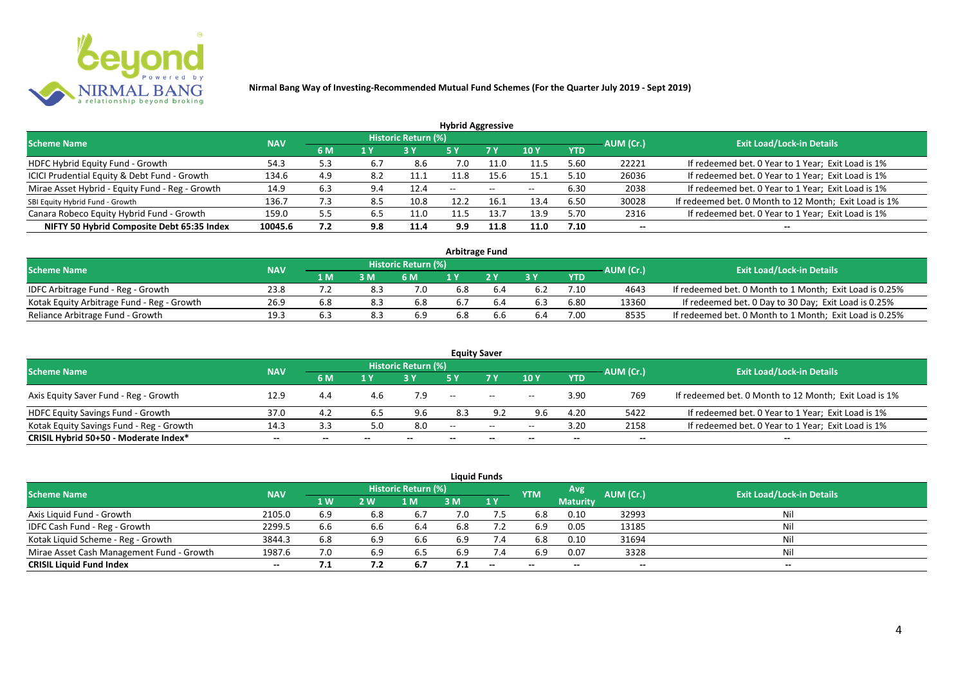

|                                                 |            |     |     |                            | <b>Hybrid Aggressive</b> |                          |       |            |           |                                                       |
|-------------------------------------------------|------------|-----|-----|----------------------------|--------------------------|--------------------------|-------|------------|-----------|-------------------------------------------------------|
| <b>Scheme Name</b>                              | <b>NAV</b> |     |     | <b>Historic Return (%)</b> |                          |                          |       |            | AUM (Cr.) | <b>Exit Load/Lock-in Details</b>                      |
|                                                 |            | 6 M | 1 Y |                            | 5 Y                      | 7 Y                      | 10Y   | <b>YTD</b> |           |                                                       |
| HDFC Hybrid Equity Fund - Growth                | 54.3       | 5.3 | 6.7 | 8.6                        | 7.0                      | 11.0                     | 11.5  | 5.60       | 22221     | If redeemed bet. 0 Year to 1 Year; Exit Load is 1%    |
| ICICI Prudential Equity & Debt Fund - Growth    | 134.6      | 4.9 | 8.2 | 11.1                       | 11.8                     | 15.6                     | 15.1  | 5.10       | 26036     | If redeemed bet. 0 Year to 1 Year; Exit Load is 1%    |
| Mirae Asset Hybrid - Equity Fund - Reg - Growth | 14.9       | 6.3 | 9.4 | 12.4                       | $\overline{\phantom{a}}$ | $\overline{\phantom{m}}$ | $- -$ | 6.30       | 2038      | If redeemed bet. 0 Year to 1 Year; Exit Load is 1%    |
| SBI Equity Hybrid Fund - Growth                 | 136.7      | 7.3 | 8.5 | 10.8                       | 12.2                     | 16.1                     | 13.4  | 6.50       | 30028     | If redeemed bet. 0 Month to 12 Month; Exit Load is 1% |
| Canara Robeco Equity Hybrid Fund - Growth       | 159.0      | 5.5 | 0.5 | 11.0                       |                          | 13.                      | 13.9  | 5.70       | 2316      | If redeemed bet. 0 Year to 1 Year; Exit Load is 1%    |
| NIFTY 50 Hybrid Composite Debt 65:35 Index      | 10045.6    | 7.2 | 9.8 | 11.4                       | 9.9                      | 11.8                     | 11.0  | 7.10       | $- -$     | $- -$                                                 |

| <b>Arbitrage Fund</b>                      |            |     |     |                            |     |  |     |      |           |                                                         |  |  |  |
|--------------------------------------------|------------|-----|-----|----------------------------|-----|--|-----|------|-----------|---------------------------------------------------------|--|--|--|
| <b>Scheme Name</b>                         | <b>NAV</b> |     |     | <b>Historic Return (%)</b> |     |  |     |      | AUM (Cr.) | <b>Exit Load/Lock-in Details</b>                        |  |  |  |
|                                            |            | 1 M | 3 M | 6 M                        |     |  | 2 V | YTD  |           |                                                         |  |  |  |
| IDFC Arbitrage Fund - Reg - Growth         | 23.8       |     |     | 7.0                        | 6.8 |  |     | 7.10 | 4643      | If redeemed bet. 0 Month to 1 Month; Exit Load is 0.25% |  |  |  |
| Kotak Equity Arbitrage Fund - Reg - Growth | 26.9       | 6.8 | 8.3 | 6.8                        | 6.7 |  |     | 6.80 | 13360     | If redeemed bet. 0 Day to 30 Day; Exit Load is 0.25%    |  |  |  |
| Reliance Arbitrage Fund - Growth           | 19.3       |     | 8.3 | 6.9                        | 6.8 |  | 6.4 | 7.00 | 8535      | If redeemed bet. 0 Month to 1 Month; Exit Load is 0.25% |  |  |  |

|                                          |            |       |     |                     |       | <b>Equity Saver</b>                                 |       |            |           |                                                       |
|------------------------------------------|------------|-------|-----|---------------------|-------|-----------------------------------------------------|-------|------------|-----------|-------------------------------------------------------|
| <b>Scheme Name</b>                       | <b>NAV</b> |       |     | Historic Return (%) |       |                                                     |       |            |           | <b>Exit Load/Lock-in Details</b>                      |
|                                          |            | 6 M   | 1 Y |                     |       | 7 <sub>V</sub>                                      | 10Y   | <b>YTD</b> | AUM (Cr.) |                                                       |
| Axis Equity Saver Fund - Reg - Growth    | 12.9       | 4.4   | 4.b |                     | $- -$ | $\hspace{0.1mm}-\hspace{0.1mm}-\hspace{0.1mm}$      | $- -$ | 3.90       | 769       | If redeemed bet. 0 Month to 12 Month; Exit Load is 1% |
| HDFC Equity Savings Fund - Growth        | 37.0       | 4.2   |     |                     | 8.3   | 9.2                                                 | 9.6   | 4.20       | 5422      | If redeemed bet. 0 Year to 1 Year; Exit Load is 1%    |
| Kotak Equity Savings Fund - Reg - Growth | 14.3       | 3.3   | 5.0 | 8.0                 | $-$   | $\hspace{0.05cm} -\hspace{0.05cm} -\hspace{0.05cm}$ | $- -$ | 3.20       | 2158      | If redeemed bet. 0 Year to 1 Year; Exit Load is 1%    |
| CRISIL Hybrid 50+50 - Moderate Index*    | $- -$      | $- -$ |     | --                  | --    | $- -$                                               |       | --         | --        | $- -$                                                 |

| <b>Liquid Funds</b>                       |            |           |     |                     |     |                          |            |                 |           |                                  |  |  |  |  |
|-------------------------------------------|------------|-----------|-----|---------------------|-----|--------------------------|------------|-----------------|-----------|----------------------------------|--|--|--|--|
| <b>Scheme Name</b>                        | <b>NAV</b> |           |     | Historic Return (%) |     |                          | <b>YTM</b> | Avg'            | AUM (Cr.) | <b>Exit Load/Lock-in Details</b> |  |  |  |  |
|                                           |            | <b>1W</b> | 2 W | 1 M                 | 3 M | 1Y                       |            | <b>Maturity</b> |           |                                  |  |  |  |  |
| Axis Liquid Fund - Growth                 | 2105.0     | 6.9       | 6.8 | 6.7                 | 7.0 | 7.5                      | 6.8        | 0.10            | 32993     | Nil                              |  |  |  |  |
| IDFC Cash Fund - Reg - Growth             | 2299.5     | 6.6       | 6.6 | -6.4                | 6.8 |                          | 6.9        | 0.05            | 13185     | Nil                              |  |  |  |  |
| Kotak Liquid Scheme - Reg - Growth        | 3844.3     | 6.8       | 6.9 | 6.6                 | 6.9 | 7.4                      | 6.8        | 0.10            | 31694     | Nil                              |  |  |  |  |
| Mirae Asset Cash Management Fund - Growth | 1987.6     |           | 6.9 | 6.5                 | 6.9 | 7.4                      | 6.9        | 0.07            | 3328      | Nil                              |  |  |  |  |
| <b>CRISIL Liquid Fund Index</b>           | $- -$      | 7.1       | 7.2 | 6.7                 | 7.1 | $\overline{\phantom{a}}$ | $- -$      | $- -$           | $- -$     | $- -$                            |  |  |  |  |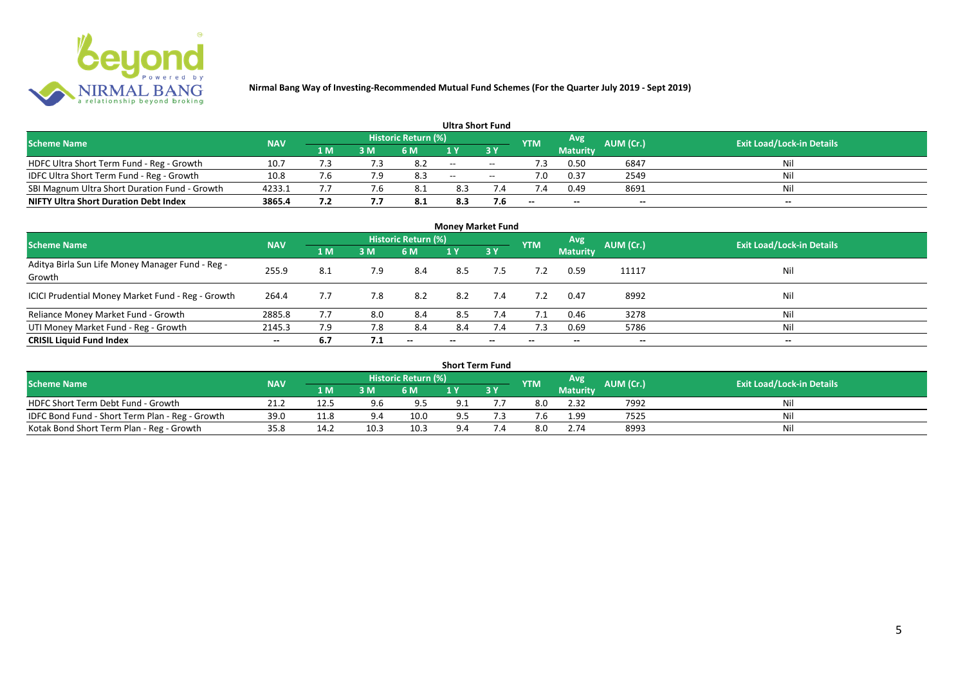

|                                               |            |     |     |                            | <b>Ultra Short Fund</b> |                          |            |                 |           |                                  |
|-----------------------------------------------|------------|-----|-----|----------------------------|-------------------------|--------------------------|------------|-----------------|-----------|----------------------------------|
| <b>Scheme Name</b>                            | <b>NAV</b> |     |     | <b>Historic Return (%)</b> |                         |                          | <b>YTM</b> | Avg             | AUM (Cr.) | <b>Exit Load/Lock-in Details</b> |
|                                               |            | 1 M | 3 M | 6 M                        | 1 V                     |                          |            | <b>Maturity</b> |           |                                  |
| HDFC Ultra Short Term Fund - Reg - Growth     | 10.7       |     |     |                            | $  \,$                  | $\sim$                   | ٠3         | 0.50            | 6847      | Nil                              |
| IDFC Ultra Short Term Fund - Reg - Growth     | 10.8       |     |     | 8.3                        | $\sim$                  | $\overline{\phantom{a}}$ |            | 0.37            | 2549      | Nil                              |
| SBI Magnum Ultra Short Duration Fund - Growth | 4233.1     |     |     | - 8.1                      | 8.3                     |                          |            | 0.49            | 8691      | Nil                              |
| <b>NIFTY Ultra Short Duration Debt Index</b>  | 3865.4     | 7.2 |     | 8.1                        | 8.3                     | 7.6                      | $- -$      | $- -$           | $- -$     | $- -$                            |

| <b>Money Market Fund</b>                                   |            |     |     |                     |       |                          |            |                 |                          |                                  |  |  |  |  |
|------------------------------------------------------------|------------|-----|-----|---------------------|-------|--------------------------|------------|-----------------|--------------------------|----------------------------------|--|--|--|--|
| <b>Scheme Name</b>                                         | <b>NAV</b> |     |     | Historic Return (%) |       |                          | <b>YTM</b> | Avg             | AUM (Cr.)                | <b>Exit Load/Lock-in Details</b> |  |  |  |  |
|                                                            |            | 1 M | 3M  | 6 M                 | 1Y    | 3Y                       |            | <b>Maturity</b> |                          |                                  |  |  |  |  |
| Aditya Birla Sun Life Money Manager Fund - Reg -<br>Growth | 255.9      | 8.1 | 7.9 | 8.4                 | 8.5   | 7.5                      |            | 0.59            | 11117                    | Nil                              |  |  |  |  |
| ICICI Prudential Money Market Fund - Reg - Growth          | 264.4      | 7.7 | 7.8 | 8.2                 | 8.2   | 7.4                      | 7.2        | 0.47            | 8992                     | Nil                              |  |  |  |  |
| Reliance Money Market Fund - Growth                        | 2885.8     | 7.7 | 8.0 | 8.4                 | 8.5   | 7.4                      | 7.1        | 0.46            | 3278                     | Nil                              |  |  |  |  |
| UTI Money Market Fund - Reg - Growth                       | 2145.3     | 7.9 | 7.8 | 8.4                 | 8.4   | 7.4                      | 7.3        | 0.69            | 5786                     | Nil                              |  |  |  |  |
| <b>CRISIL Liquid Fund Index</b>                            | $- -$      | 6.7 | 7.1 | $- -$               | $- -$ | $\overline{\phantom{a}}$ | $- -$      | --              | $\overline{\phantom{a}}$ | $- -$                            |  |  |  |  |

| <b>Short Term Fund</b>                          |            |      |           |                            |     |           |            |                 |           |                                  |  |  |  |  |
|-------------------------------------------------|------------|------|-----------|----------------------------|-----|-----------|------------|-----------------|-----------|----------------------------------|--|--|--|--|
| <b>Scheme Name</b>                              | <b>NAV</b> |      |           | <b>Historic Return (%)</b> |     |           | <b>YTM</b> | Avg             | AUM (Cr.) | <b>Exit Load/Lock-in Details</b> |  |  |  |  |
|                                                 |            | 1 M  | 3 M       | 6 M                        | 1 Y | <b>3Y</b> |            | <b>Maturity</b> |           |                                  |  |  |  |  |
| HDFC Short Term Debt Fund - Growth              | 21.2       | 12.5 | 9.6       | 9.5                        | 9.1 |           | 8.0        | 2.32            | 7992      | Nil                              |  |  |  |  |
| IDFC Bond Fund - Short Term Plan - Reg - Growth | 39.0       | 11.8 | $9\Delta$ | 10.0                       | 9.5 |           |            | 1.99            | 7525      | Nil                              |  |  |  |  |
| Kotak Bond Short Term Plan - Reg - Growth       | 35.8       | 14.2 | 10.3      | 10.3                       | 9.4 |           |            | 2.74            | 8993      | Nil                              |  |  |  |  |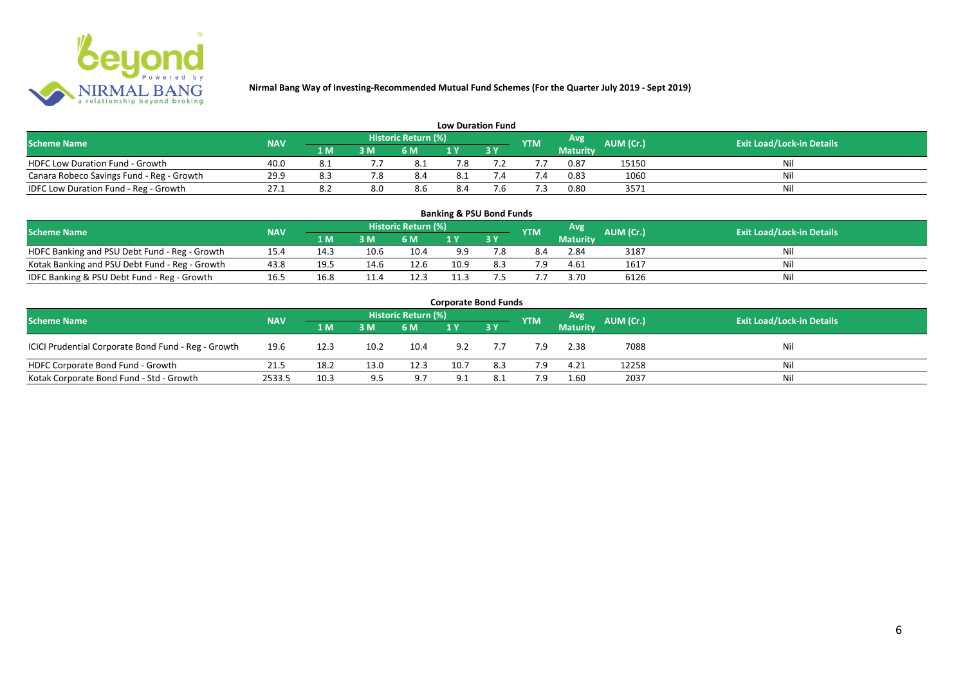

| <b>Low Duration Fund</b>                  |            |     |     |                            |     |  |            |          |           |                                  |  |  |  |  |
|-------------------------------------------|------------|-----|-----|----------------------------|-----|--|------------|----------|-----------|----------------------------------|--|--|--|--|
| <b>Scheme Name</b>                        | <b>NAV</b> |     |     | <b>Historic Return (%)</b> |     |  | <b>YTM</b> | Avg      | AUM (Cr.) | <b>Exit Load/Lock-in Details</b> |  |  |  |  |
|                                           |            | 1 M | 3 M | 6 M                        | 1 Y |  |            | Maturity |           |                                  |  |  |  |  |
| <b>HDFC Low Duration Fund - Growth</b>    | 40.0       |     |     | -8.1                       | 7.8 |  |            | 0.87     | 15150     | Nil                              |  |  |  |  |
| Canara Robeco Savings Fund - Reg - Growth | 29.9       | 8.3 |     | 8.4                        | 8.1 |  | '.4        | 0.83     | 1060      | Nil                              |  |  |  |  |
| IDFC Low Duration Fund - Reg - Growth     | 27.1       |     | 8.0 | 8.6                        | 8.4 |  |            | 0.80     | 3571      | Nil                              |  |  |  |  |

| <b>Banking &amp; PSU Bond Funds</b>                                                                                                                |      |      |      |      |      |     |     |                 |      |    |  |  |  |  |
|----------------------------------------------------------------------------------------------------------------------------------------------------|------|------|------|------|------|-----|-----|-----------------|------|----|--|--|--|--|
| <b>Historic Return (%)</b><br><b>Avg</b><br><b>AUM (Cr.)</b><br><b>Exit Load/Lock-in Details</b><br><b>NAV</b><br><b>Scheme Name</b><br><b>YTM</b> |      |      |      |      |      |     |     |                 |      |    |  |  |  |  |
|                                                                                                                                                    |      | 1 M  | 3 M  | 6 M  |      | 3 Y |     | <b>Maturity</b> |      |    |  |  |  |  |
| HDFC Banking and PSU Debt Fund - Reg - Growth                                                                                                      | 15.4 | 14.3 | 10.6 | 10.4 | 9.9  |     |     | 2.84            | 3187 | Ni |  |  |  |  |
| Kotak Banking and PSU Debt Fund - Reg - Growth                                                                                                     | 43.8 | 19.5 | 14.6 | 12.6 | 10.9 | 8.3 | 7.9 | 4.61            | 1617 |    |  |  |  |  |
| IDFC Banking & PSU Debt Fund - Reg - Growth                                                                                                        | 16.5 | 16.8 | 11.4 | 12.3 |      |     |     | 3.70            | 6126 | Ni |  |  |  |  |

| <b>Corporate Bond Funds</b>                                                                                                   |        |      |      |      |      |           |     |                 |       |     |  |  |  |  |
|-------------------------------------------------------------------------------------------------------------------------------|--------|------|------|------|------|-----------|-----|-----------------|-------|-----|--|--|--|--|
| Historic Return (%)<br>Avg<br>AUM (Cr.)<br><b>Exit Load/Lock-in Details</b><br><b>Scheme Name</b><br><b>NAV</b><br><b>YTM</b> |        |      |      |      |      |           |     |                 |       |     |  |  |  |  |
|                                                                                                                               |        | 1 M  | 3 M  | 6 M  |      | <b>3Y</b> |     | <b>Maturity</b> |       |     |  |  |  |  |
| ICICI Prudential Corporate Bond Fund - Reg - Growth                                                                           | 19.6   | 12.3 | 10.2 | 10.4 | 9.2  |           | 7.9 | 2.38            | 7088  | Nil |  |  |  |  |
| HDFC Corporate Bond Fund - Growth                                                                                             | 21.5   | 18.2 | 13.0 | 12.3 | 10.7 | 8.3       | 7.9 | 4.21            | 12258 | Nil |  |  |  |  |
| Kotak Corporate Bond Fund - Std - Growth                                                                                      | 2533.5 | 10.3 | 9.5  | 9.7  | 9.1  | 8.1       | 7.9 | 1.60            | 2037  | Nil |  |  |  |  |